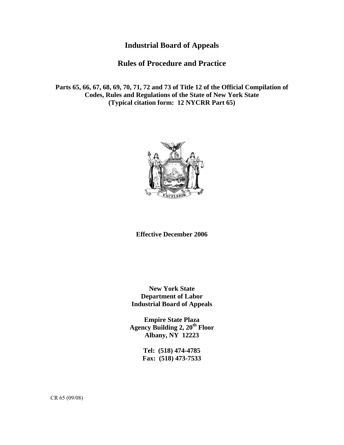# **Industrial Board of Appeals**

# **Rules of Procedure and Practice**

**Parts 65, 66, 67, 68, 69, 70, 71, 72 and 73 of Title 12 of the Official Compilation of Codes, Rules and Regulations of the State of New York State (Typical citation form: 12 NYCRR Part 65)** 



**Effective December 2006** 

**New York State Department of Labor Industrial Board of Appeals** 

**Empire State Plaza**  Agency Building 2, 20<sup>th</sup> Floor **Albany, NY 12223** 

> **Tel: (518) 474-4785 Fax: (518) 473-7533**

CR 65 (09/08)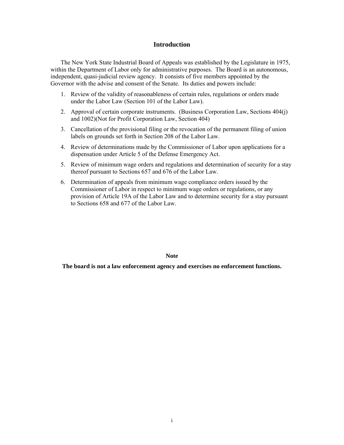### **Introduction**

 The New York State Industrial Board of Appeals was established by the Legislature in 1975, within the Department of Labor only for administrative purposes. The Board is an autonomous, independent, quasi-judicial review agency. It consists of five members appointed by the Governor with the advise and consent of the Senate. Its duties and powers include:

- 1. Review of the validity of reasonableness of certain rules, regulations or orders made under the Labor Law (Section 101 of the Labor Law).
- 2. Approval of certain corporate instruments. (Business Corporation Law, Sections 404(j) and 1002)(Not for Profit Corporation Law, Section 404)
- 3. Cancellation of the provisional filing or the revocation of the permanent filing of union labels on grounds set forth in Section 208 of the Labor Law.
- 4. Review of determinations made by the Commissioner of Labor upon applications for a dispensation under Article 5 of the Defense Emergency Act.
- 5. Review of minimum wage orders and regulations and determination of security for a stay thereof pursuant to Sections 657 and 676 of the Labor Law.
- 6. Determination of appeals from minimum wage compliance orders issued by the Commissioner of Labor in respect to minimum wage orders or regulations, or any provision of Article 19A of the Labor Law and to determine security for a stay pursuant to Sections 658 and 677 of the Labor Law.

**Note** 

**The board is not a law enforcement agency and exercises no enforcement functions.**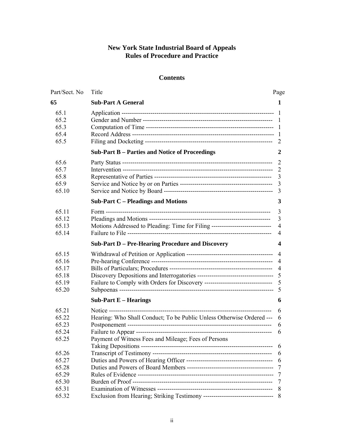## **New York State Industrial Board of Appeals Rules of Procedure and Practice**

## **Contents**

| Part/Sect. No | Title                                                                           | Page           |
|---------------|---------------------------------------------------------------------------------|----------------|
| 65            | <b>Sub-Part A General</b>                                                       | 1              |
| 65.1          |                                                                                 | - 1            |
| 65.2          |                                                                                 | 1              |
| 65.3          |                                                                                 | 1              |
| 65.4          |                                                                                 | -1             |
| 65.5          |                                                                                 | 2              |
|               | <b>Sub-Part B - Parties and Notice of Proceedings</b>                           | 2              |
| 65.6          |                                                                                 | $\overline{2}$ |
| 65.7          |                                                                                 | -2             |
| 65.8          |                                                                                 | 3              |
| 65.9          |                                                                                 | 3              |
| 65.10         |                                                                                 | 3              |
|               | <b>Sub-Part C – Pleadings and Motions</b>                                       | 3              |
| 65.11         |                                                                                 | 3              |
| 65.12         |                                                                                 | 3              |
| 65.13         | Motions Addressed to Pleading: Time for Filing -----------------------------    | 4              |
| 65.14         |                                                                                 | $\overline{4}$ |
|               | <b>Sub-Part D - Pre-Hearing Procedure and Discovery</b>                         | 4              |
| 65.15         |                                                                                 | $\overline{4}$ |
| 65.16         |                                                                                 |                |
| 65.17         |                                                                                 |                |
| 65.18         |                                                                                 |                |
| 65.19         | Failure to Comply with Orders for Discovery --------------------------------- 5 |                |
| 65.20         |                                                                                 | 5              |
|               | Sub-Part $E$ – Hearings                                                         | 6              |
| 65.21         |                                                                                 | 6              |
| 65.22         | Hearing: Who Shall Conduct; To be Public Unless Otherwise Ordered ---           | 6              |
| 65.23         |                                                                                 | 6              |
| 65.24         |                                                                                 | 6              |
| 65.25         | Payment of Witness Fees and Mileage; Fees of Persons                            |                |
| 65.26         |                                                                                 | 6              |
| 65.27         |                                                                                 | 6              |
| 65.28         |                                                                                 | 7              |
| 65.29         |                                                                                 | 7              |
| 65.30         |                                                                                 | 7              |
| 65.31         |                                                                                 | 8              |
| 65.32         |                                                                                 | -8             |
|               |                                                                                 |                |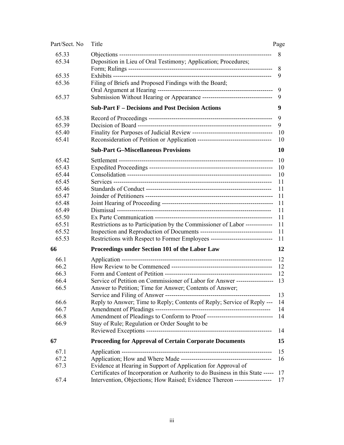| Part/Sect. No | Title                                                                            | Page      |
|---------------|----------------------------------------------------------------------------------|-----------|
| 65.33         |                                                                                  | 8         |
| 65.34         | Deposition in Lieu of Oral Testimony; Application; Procedures;                   |           |
|               |                                                                                  | 8         |
| 65.35         |                                                                                  | 9         |
| 65.36         | Filing of Briefs and Proposed Findings with the Board;                           |           |
|               |                                                                                  | 9         |
| 65.37         | Submission Without Hearing or Appearance -----------------------------------     | 9         |
|               | <b>Sub-Part F – Decisions and Post Decision Actions</b>                          | 9         |
| 65.38         |                                                                                  | 9         |
| 65.39         |                                                                                  | 9         |
| 65.40         |                                                                                  | 10        |
| 65.41         |                                                                                  | 10        |
|               | <b>Sub-Part G-Miscellaneous Provisions</b>                                       | <b>10</b> |
| 65.42         |                                                                                  | 10        |
| 65.43         |                                                                                  | 10        |
| 65.44         |                                                                                  | 10        |
| 65.45         |                                                                                  | 11        |
| 65.46         |                                                                                  | 11        |
| 65.47         |                                                                                  | 11        |
| 65.48         |                                                                                  | 11        |
| 65.49         |                                                                                  | 11        |
| 65.50         |                                                                                  | 11        |
| 65.51         | Restrictions as to Participation by the Commissioner of Labor -------------      | 11        |
| 65.52         |                                                                                  | 11        |
| 65.53         | Restrictions with Respect to Former Employees ---------------------------------- | 11        |
| 66            | Proceedings under Section 101 of the Labor Law                                   | 12        |
| 66.1          |                                                                                  | 12        |
| 66.2          |                                                                                  | 12        |
| 66.3          |                                                                                  | 12        |
| 66.4          | Service of Petition on Commissioner of Labor for Answer -------------------      | 13        |
| 66.5          | Answer to Petition; Time for Answer; Contents of Answer;                         |           |
|               |                                                                                  | 13        |
| 66.6          | Reply to Answer; Time to Reply; Contents of Reply; Service of Reply ---          | 14        |
| 66.7          |                                                                                  | 14        |
| 66.8          |                                                                                  | 14        |
| 66.9          | Stay of Rule; Regulation or Order Sought to be                                   |           |
|               |                                                                                  | 14        |
| 67            | <b>Proceeding for Approval of Certain Corporate Documents</b>                    | 15        |
| 67.1          |                                                                                  | 15        |
| 67.2          |                                                                                  | 16        |
| 67.3          | Evidence at Hearing in Support of Application for Approval of                    |           |
|               | Certificates of Incorporation or Authority to do Business in this State -----    | 17        |
| 67.4          | Intervention, Objections; How Raised; Evidence Thereon ------------------        | 17        |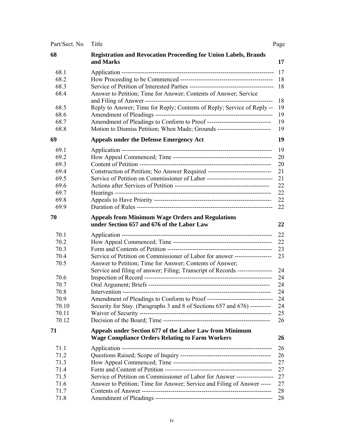| Part/Sect. No | Title                                                                                                 | Page |
|---------------|-------------------------------------------------------------------------------------------------------|------|
| 68            | Registration and Revocation Proceeding for Union Labels, Brands<br>and Marks                          | 17   |
| 68.1          |                                                                                                       | 17   |
| 68.2          |                                                                                                       | 18   |
| 68.3          |                                                                                                       | 18   |
| 68.4          | Answer to Petition; Time for Answer; Contents of Answer; Service                                      | 18   |
| 68.5          | Reply to Answer; Time for Reply; Contents of Reply; Service of Reply --                               | 19   |
| 68.6          |                                                                                                       | 19   |
| 68.7          | Amendment of Pleadings to Conform to Proof --------------------------------                           | 19   |
| 68.8          | Motion to Dismiss Petition; When Made; Grounds ----------------------------------                     | 19   |
| 69            | <b>Appeals under the Defense Emergency Act</b>                                                        | 19   |
| 69.1          |                                                                                                       | 19   |
| 69.2          |                                                                                                       | 20   |
| 69.3          |                                                                                                       | 20   |
| 69.4          | Construction of Petition; No Answer Required ----------------------------------                       | 21   |
| 69.5          | Service of Petition on Commissioner of Labor -----------------------------------                      | 21   |
| 69.6          |                                                                                                       | 22   |
| 69.7          |                                                                                                       | 22   |
| 69.8          |                                                                                                       | 22   |
| 69.9          |                                                                                                       | 22   |
| 70            | <b>Appeals from Minimum Wage Orders and Regulations</b><br>under Section 657 and 676 of the Labor Law | 22   |
| 70.1          |                                                                                                       | 22   |
| 70.2          |                                                                                                       | 22   |
| 70.3          |                                                                                                       | 23   |
| 70.4          | Service of Petition on Commissioner of Labor for answer ------------------                            | 23   |
| 70.5          | Answer to Petition; Time for Answer; Contents of Answer;                                              |      |
|               | Service and filing of answer; Filing; Transcript of Records -----------------                         | 24   |
| 70.6          |                                                                                                       | 24   |
| 70.7          |                                                                                                       | 24   |
| 70.8          |                                                                                                       | 24   |
| 70.9          |                                                                                                       | 24   |
| 70.10         | Security for Stay. (Paragraphs 3 and 8 of Sections 657 and 676) ----------                            | 24   |
| 70.11         |                                                                                                       | 25   |
| 70.12         |                                                                                                       | 26   |
| 71            | Appeals under Section 677 of the Labor Law from Minimum                                               |      |
|               | <b>Wage Compliance Orders Relating to Farm Workers</b>                                                | 26   |
| 71.1          |                                                                                                       | 26   |
| 71.2          |                                                                                                       | 26   |
| 71.3          |                                                                                                       | 27   |
| 71.4          |                                                                                                       | 27   |
| 71.5          | Service of Petition on Commissioner of Labor for Answer ------------------                            | 27   |
| 71.6          | Answer to Petition; Time for Answer; Service and Filing of Answer -----                               | 27   |
| 71.7          |                                                                                                       | 28   |
| 71.8          |                                                                                                       | 28   |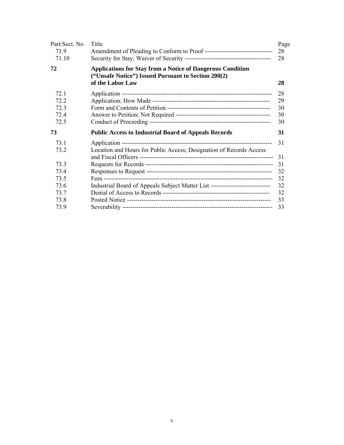| Part/Sect. No | Title                                                                                                                                        | Page     |
|---------------|----------------------------------------------------------------------------------------------------------------------------------------------|----------|
| 71.9          |                                                                                                                                              | 28       |
| 71.10         |                                                                                                                                              | 28       |
| 72            | <b>Applications for Stay from a Notice of Dangerous Condition</b><br>("Unsafe Notice") Issued Pursuant to Section 200(2)<br>of the Labor Law | 28       |
| 72.1          |                                                                                                                                              | 28       |
| 72.2          |                                                                                                                                              | 29       |
| 72.3          |                                                                                                                                              | 30       |
| 72.4          |                                                                                                                                              | 30       |
| 72.5          |                                                                                                                                              | 30       |
| 73            | <b>Public Access to Industrial Board of Appeals Records</b>                                                                                  | 31       |
| 73.1<br>73.2  | Location and Hours for Public Access; Designation of Records Access                                                                          | 31<br>31 |
| 733           |                                                                                                                                              | 31       |
| 73.4          |                                                                                                                                              | 32       |
| 73.5          |                                                                                                                                              | 32       |
| 73.6          | Industrial Board of Appeals Subject Matter List -------------------------------                                                              | 32       |
| 73.7          |                                                                                                                                              | 32       |
| 73.8          |                                                                                                                                              | 33       |
| 73.9          |                                                                                                                                              | 33       |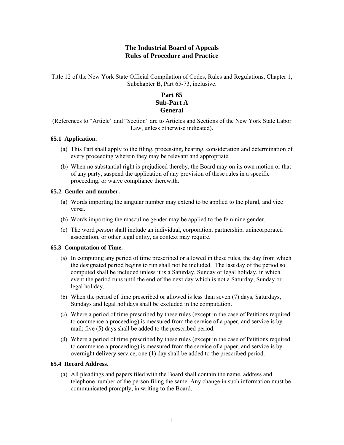## **The Industrial Board of Appeals Rules of Procedure and Practice**

Title 12 of the New York State Official Compilation of Codes, Rules and Regulations, Chapter 1, Subchapter B, Part 65-73, inclusive.

## **Part 65 Sub-Part A General**

(References to "Article" and "Section" are to Articles and Sections of the New York State Labor Law, unless otherwise indicated).

## **65.1 Application.**

- (a) This Part shall apply to the filing, processing, hearing, consideration and determination of every proceeding wherein they may be relevant and appropriate.
- (b) When no substantial right is prejudiced thereby, the Board may on its own motion or that of any party, suspend the application of any provision of these rules in a specific proceeding, or waive compliance therewith.

## **65.2 Gender and number.**

- (a) Words importing the singular number may extend to be applied to the plural, and vice versa.
- (b) Words importing the masculine gender may be applied to the feminine gender.
- (c) The word *person* shall include an individual, corporation, partnership, unincorporated association, or other legal entity, as context may require.

## **65.3 Computation of Time.**

- (a) In computing any period of time prescribed or allowed in these rules, the day from which the designated period begins to run shall not be included. The last day of the period so computed shall be included unless it is a Saturday, Sunday or legal holiday, in which event the period runs until the end of the next day which is not a Saturday, Sunday or legal holiday.
- (b) When the period of time prescribed or allowed is less than seven (7) days, Saturdays, Sundays and legal holidays shall be excluded in the computation.
- (c) Where a period of time prescribed by these rules (except in the case of Petitions required to commence a proceeding) is measured from the service of a paper, and service is by mail; five (5) days shall be added to the prescribed period.
- (d) Where a period of time prescribed by these rules (except in the case of Petitions required to commence a proceeding) is measured from the service of a paper, and service is by overnight delivery service, one (1) day shall be added to the prescribed period.

### **65.4 Record Address.**

(a) All pleadings and papers filed with the Board shall contain the name, address and telephone number of the person filing the same. Any change in such information must be communicated promptly, in writing to the Board.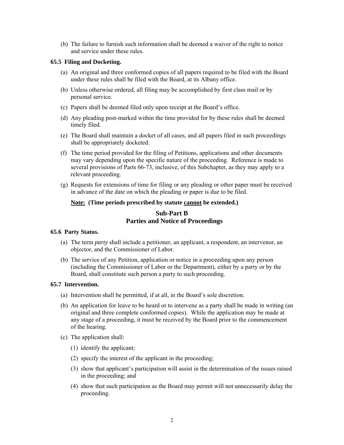(b) The failure to furnish such information shall be deemed a waiver of the right to notice and service under these rules.

## **65.5 Filing and Docketing.**

- (a) An original and three conformed copies of all papers required to be filed with the Board under these rules shall be filed with the Board, at its Albany office.
- (b) Unless otherwise ordered, all filing may be accomplished by first class mail or by personal service.
- (c) Papers shall be deemed filed only upon receipt at the Board's office.
- (d) Any pleading post-marked within the time provided for by these rules shall be deemed timely filed.
- (e) The Board shall maintain a docket of all cases, and all papers filed in such proceedings shall be appropriately docketed.
- (f) The time period provided for the filing of Petitions, applications and other documents may vary depending upon the specific nature of the proceeding. Reference is made to several provisions of Parts 66-73, inclusive, of this Subchapter, as they may apply to a relevant proceeding.
- (g) Requests for extensions of time for filing or any pleading or other paper must be received in advance of the date on which the pleading or paper is due to be filed.

## **Note: (Time periods prescribed by statute cannot be extended.)**

## **Sub-Part B Parties and Notice of Proceedings**

### **65.6 Party Status.**

- (a) The term *party* shall include a petitioner, an applicant, a respondent, an intervenor, an objector, and the Commissioner of Labor.
- (b) The service of any Petition, application or notice in a proceeding upon any person (including the Commissioner of Labor or the Department), either by a party or by the Board, shall constitute such person a party to such proceeding.

### **65.7 Intervention.**

- (a) Intervention shall be permitted, if at all, in the Board's sole discretion.
- (b) An application for leave to be heard or to intervene as a party shall be made in writing (an original and three complete conformed copies). While the application may be made at any stage of a proceeding, it must be received by the Board prior to the commencement of the hearing.
- (c) The application shall:
	- (1) identify the applicant;
	- (2) specify the interest of the applicant in the proceeding;
	- (3) show that applicant's participation will assist in the determination of the issues raised in the proceeding; and
	- (4) show that such participation as the Board may permit will not unnecessarily delay the proceeding.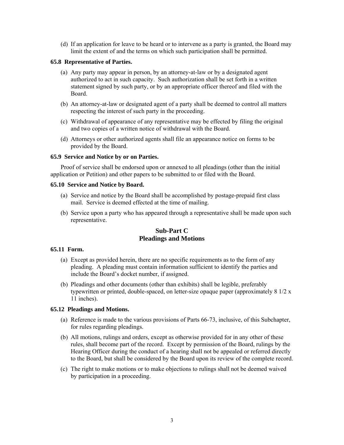(d) If an application for leave to be heard or to intervene as a party is granted, the Board may limit the extent of and the terms on which such participation shall be permitted.

### **65.8 Representative of Parties.**

- (a) Any party may appear in person, by an attorney-at-law or by a designated agent authorized to act in such capacity. Such authorization shall be set forth in a written statement signed by such party, or by an appropriate officer thereof and filed with the Board.
- (b) An attorney-at-law or designated agent of a party shall be deemed to control all matters respecting the interest of such party in the proceeding.
- (c) Withdrawal of appearance of any representative may be effected by filing the original and two copies of a written notice of withdrawal with the Board.
- (d) Attorneys or other authorized agents shall file an appearance notice on forms to be provided by the Board.

## **65.9 Service and Notice by or on Parties.**

 Proof of service shall be endorsed upon or annexed to all pleadings (other than the initial application or Petition) and other papers to be submitted to or filed with the Board.

### **65.10 Service and Notice by Board.**

- (a) Service and notice by the Board shall be accomplished by postage-prepaid first class mail. Service is deemed effected at the time of mailing.
- (b) Service upon a party who has appeared through a representative shall be made upon such representative.

## **Sub-Part C Pleadings and Motions**

## **65.11 Form.**

- (a) Except as provided herein, there are no specific requirements as to the form of any pleading. A pleading must contain information sufficient to identify the parties and include the Board's docket number, if assigned.
- (b) Pleadings and other documents (other than exhibits) shall be legible, preferably typewritten or printed, double-spaced, on letter-size opaque paper (approximately 8 1/2 x 11 inches).

## **65.12 Pleadings and Motions.**

- (a) Reference is made to the various provisions of Parts 66-73, inclusive, of this Subchapter, for rules regarding pleadings.
- (b) All motions, rulings and orders, except as otherwise provided for in any other of these rules, shall become part of the record. Except by permission of the Board, rulings by the Hearing Officer during the conduct of a hearing shall not be appealed or referred directly to the Board, but shall be considered by the Board upon its review of the complete record.
- (c) The right to make motions or to make objections to rulings shall not be deemed waived by participation in a proceeding.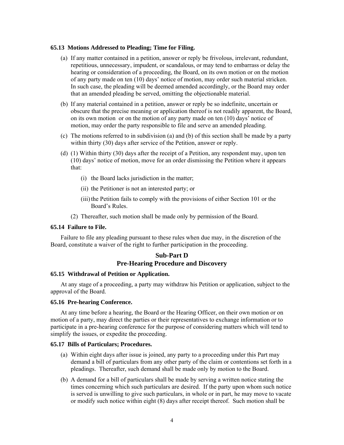### **65.13 Motions Addressed to Pleading; Time for Filing.**

- (a) If any matter contained in a petition, answer or reply be frivolous, irrelevant, redundant, repetitious, unnecessary, impudent, or scandalous, or may tend to embarrass or delay the hearing or consideration of a proceeding, the Board, on its own motion or on the motion of any party made on ten (10) days' notice of motion, may order such material stricken. In such case, the pleading will be deemed amended accordingly, or the Board may order that an amended pleading be served, omitting the objectionable material.
- (b) If any material contained in a petition, answer or reply be so indefinite, uncertain or obscure that the precise meaning or application thereof is not readily apparent, the Board, on its own motion or on the motion of any party made on ten (10) days' notice of motion, may order the party responsible to file and serve an amended pleading.
- (c) The motions referred to in subdivision (a) and (b) of this section shall be made by a party within thirty (30) days after service of the Petition, answer or reply.
- (d) (1) Within thirty (30) days after the receipt of a Petition, any respondent may, upon ten (10) days' notice of motion, move for an order dismissing the Petition where it appears that:
	- (i) the Board lacks jurisdiction in the matter;
	- (ii) the Petitioner is not an interested party; or
	- (iii)the Petition fails to comply with the provisions of either Section 101 or the Board's Rules.
	- (2) Thereafter, such motion shall be made only by permission of the Board.

### **65.14 Failure to File.**

 Failure to file any pleading pursuant to these rules when due may, in the discretion of the Board, constitute a waiver of the right to further participation in the proceeding.

## **Sub-Part D Pre-Hearing Procedure and Discovery**

#### **65.15 Withdrawal of Petition or Application.**

 At any stage of a proceeding, a party may withdraw his Petition or application, subject to the approval of the Board.

#### **65.16 Pre-hearing Conference.**

 At any time before a hearing, the Board or the Hearing Officer, on their own motion or on motion of a party, may direct the parties or their representatives to exchange information or to participate in a pre-hearing conference for the purpose of considering matters which will tend to simplify the issues, or expedite the proceeding.

### **65.17 Bills of Particulars; Procedures.**

- (a) Within eight days after issue is joined, any party to a proceeding under this Part may demand a bill of particulars from any other party of the claim or contentions set forth in a pleadings. Thereafter, such demand shall be made only by motion to the Board.
- (b) A demand for a bill of particulars shall be made by serving a written notice stating the times concerning which such particulars are desired. If the party upon whom such notice is served is unwilling to give such particulars, in whole or in part, he may move to vacate or modify such notice within eight (8) days after receipt thereof. Such motion shall be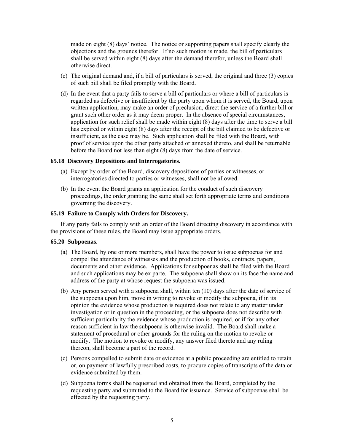made on eight (8) days' notice. The notice or supporting papers shall specify clearly the objections and the grounds therefor. If no such motion is made, the bill of particulars shall be served within eight (8) days after the demand therefor, unless the Board shall otherwise direct.

- (c) The original demand and, if a bill of particulars is served, the original and three (3) copies of such bill shall be filed promptly with the Board.
- (d) In the event that a party fails to serve a bill of particulars or where a bill of particulars is regarded as defective or insufficient by the party upon whom it is served, the Board, upon written application, may make an order of preclusion, direct the service of a further bill or grant such other order as it may deem proper. In the absence of special circumstances, application for such relief shall be made within eight (8) days after the time to serve a bill has expired or within eight (8) days after the receipt of the bill claimed to be defective or insufficient, as the case may be. Such application shall be filed with the Board, with proof of service upon the other party attached or annexed thereto, and shall be returnable before the Board not less than eight (8) days from the date of service.

### **65.18 Discovery Depositions and Interrogatories.**

- (a) Except by order of the Board, discovery depositions of parties or witnesses, or interrogatories directed to parties or witnesses, shall not be allowed.
- (b) In the event the Board grants an application for the conduct of such discovery proceedings, the order granting the same shall set forth appropriate terms and conditions governing the discovery.

## **65.19 Failure to Comply with Orders for Discovery.**

 If any party fails to comply with an order of the Board directing discovery in accordance with the provisions of these rules, the Board may issue appropriate orders.

#### **65.20 Subpoenas.**

- (a) The Board, by one or more members, shall have the power to issue subpoenas for and compel the attendance of witnesses and the production of books, contracts, papers, documents and other evidence. Applications for subpoenas shall be filed with the Board and such applications may be ex parte. The subpoena shall show on its face the name and address of the party at whose request the subpoena was issued.
- (b) Any person served with a subpoena shall, within ten (10) days after the date of service of the subpoena upon him, move in writing to revoke or modify the subpoena, if in its opinion the evidence whose production is required does not relate to any matter under investigation or in question in the proceeding, or the subpoena does not describe with sufficient particularity the evidence whose production is required, or if for any other reason sufficient in law the subpoena is otherwise invalid. The Board shall make a statement of procedural or other grounds for the ruling on the motion to revoke or modify. The motion to revoke or modify, any answer filed thereto and any ruling thereon, shall become a part of the record.
- (c) Persons compelled to submit date or evidence at a public proceeding are entitled to retain or, on payment of lawfully prescribed costs, to procure copies of transcripts of the data or evidence submitted by them.
- (d) Subpoena forms shall be requested and obtained from the Board, completed by the requesting party and submitted to the Board for issuance. Service of subpoenas shall be effected by the requesting party.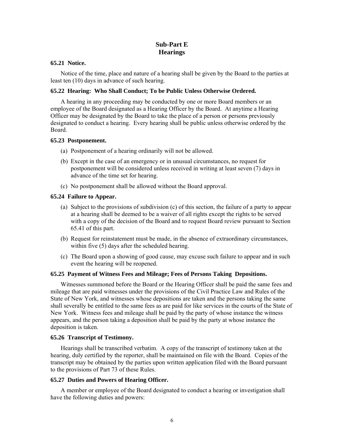## **Sub-Part E Hearings**

### **65.21 Notice.**

 Notice of the time, place and nature of a hearing shall be given by the Board to the parties at least ten (10) days in advance of such hearing.

## **65.22 Hearing: Who Shall Conduct; To be Public Unless Otherwise Ordered.**

 A hearing in any proceeding may be conducted by one or more Board members or an employee of the Board designated as a Hearing Officer by the Board. At anytime a Hearing Officer may be designated by the Board to take the place of a person or persons previously designated to conduct a hearing. Every hearing shall be public unless otherwise ordered by the Board.

## **65.23 Postponement.**

- (a) Postponement of a hearing ordinarily will not be allowed.
- (b) Except in the case of an emergency or in unusual circumstances, no request for postponement will be considered unless received in writing at least seven (7) days in advance of the time set for hearing.
- (c) No postponement shall be allowed without the Board approval.

## **65.24 Failure to Appear.**

- (a) Subject to the provisions of subdivision (c) of this section, the failure of a party to appear at a hearing shall be deemed to be a waiver of all rights except the rights to be served with a copy of the decision of the Board and to request Board review pursuant to Section 65.41 of this part.
- (b) Request for reinstatement must be made, in the absence of extraordinary circumstances, within five (5) days after the scheduled hearing.
- (c) The Board upon a showing of good cause, may excuse such failure to appear and in such event the hearing will be reopened.

## **65.25 Payment of Witness Fees and Mileage; Fees of Persons Taking Depositions.**

 Witnesses summoned before the Board or the Hearing Officer shall be paid the same fees and mileage that are paid witnesses under the provisions of the Civil Practice Law and Rules of the State of New York, and witnesses whose depositions are taken and the persons taking the same shall severally be entitled to the same fees as are paid for like services in the courts of the State of New York. Witness fees and mileage shall be paid by the party of whose instance the witness appears, and the person taking a deposition shall be paid by the party at whose instance the deposition is taken.

### **65.26 Transcript of Testimony.**

 Hearings shall be transcribed verbatim. A copy of the transcript of testimony taken at the hearing, duly certified by the reporter, shall be maintained on file with the Board. Copies of the transcript may be obtained by the parties upon written application filed with the Board pursuant to the provisions of Part 73 of these Rules.

## **65.27 Duties and Powers of Hearing Officer.**

 A member or employee of the Board designated to conduct a hearing or investigation shall have the following duties and powers: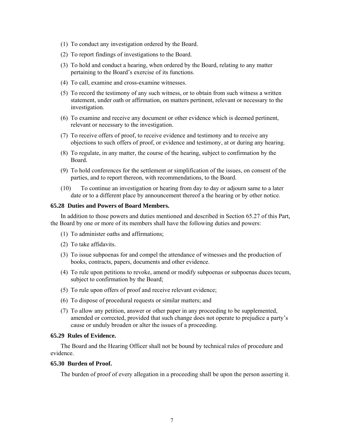- (1) To conduct any investigation ordered by the Board.
- (2) To report findings of investigations to the Board.
- (3) To hold and conduct a hearing, when ordered by the Board, relating to any matter pertaining to the Board's exercise of its functions.
- (4) To call, examine and cross-examine witnesses.
- (5) To record the testimony of any such witness, or to obtain from such witness a written statement, under oath or affirmation, on matters pertinent, relevant or necessary to the investigation.
- (6) To examine and receive any document or other evidence which is deemed pertinent, relevant or necessary to the investigation.
- (7) To receive offers of proof, to receive evidence and testimony and to receive any objections to such offers of proof, or evidence and testimony, at or during any hearing.
- (8) To regulate, in any matter, the course of the hearing, subject to confirmation by the Board.
- (9) To hold conferences for the settlement or simplification of the issues, on consent of the parties, and to report thereon, with recommendations, to the Board.
- (10) To continue an investigation or hearing from day to day or adjourn same to a later date or to a different place by announcement thereof a the hearing or by other notice.

## **65.28 Duties and Powers of Board Members.**

 In addition to those powers and duties mentioned and described in Section 65.27 of this Part, the Board by one or more of its members shall have the following duties and powers:

- (1) To administer oaths and affirmations;
- (2) To take affidavits.
- (3) To issue subpoenas for and compel the attendance of witnesses and the production of books, contracts, papers, documents and other evidence.
- (4) To rule upon petitions to revoke, amend or modify subpoenas or subpoenas duces tecum, subject to confirmation by the Board;
- (5) To rule upon offers of proof and receive relevant evidence;
- (6) To dispose of procedural requests or similar matters; and
- (7) To allow any petition, answer or other paper in any proceeding to be supplemented, amended or corrected, provided that such change does not operate to prejudice a party's cause or unduly broaden or alter the issues of a proceeding.

### **65.29 Rules of Evidence.**

 The Board and the Hearing Officer shall not be bound by technical rules of procedure and evidence.

#### **65.30 Burden of Proof.**

The burden of proof of every allegation in a proceeding shall be upon the person asserting it.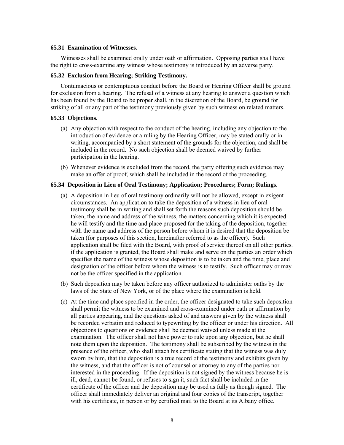#### **65.31 Examination of Witnesses.**

 Witnesses shall be examined orally under oath or affirmation. Opposing parties shall have the right to cross-examine any witness whose testimony is introduced by an adverse party.

#### **65.32 Exclusion from Hearing; Striking Testimony.**

 Contumacious or contemptuous conduct before the Board or Hearing Officer shall be ground for exclusion from a hearing. The refusal of a witness at any hearing to answer a question which has been found by the Board to be proper shall, in the discretion of the Board, be ground for striking of all or any part of the testimony previously given by such witness on related matters.

#### **65.33 Objections.**

- (a) Any objection with respect to the conduct of the hearing, including any objection to the introduction of evidence or a ruling by the Hearing Officer, may be stated orally or in writing, accompanied by a short statement of the grounds for the objection, and shall be included in the record. No such objection shall be deemed waived by further participation in the hearing.
- (b) Whenever evidence is excluded from the record, the party offering such evidence may make an offer of proof, which shall be included in the record of the proceeding.

## **65.34 Deposition in Lieu of Oral Testimony; Application; Procedures; Form; Rulings.**

- (a) A deposition in lieu of oral testimony ordinarily will not be allowed, except in exigent circumstances. An application to take the deposition of a witness in lieu of oral testimony shall be in writing and shall set forth the reasons such deposition should be taken, the name and address of the witness, the matters concerning which it is expected he will testify and the time and place proposed for the taking of the deposition, together with the name and address of the person before whom it is desired that the deposition be taken (for purposes of this section, hereinafter referred to as the officer). Such application shall be filed with the Board, with proof of service thereof on all other parties. if the application is granted, the Board shall make and serve on the parties an order which specifies the name of the witness whose deposition is to be taken and the time, place and designation of the officer before whom the witness is to testify. Such officer may or may not be the officer specified in the application.
- (b) Such deposition may be taken before any officer authorized to administer oaths by the laws of the State of New York, or of the place where the examination is held.
- (c) At the time and place specified in the order, the officer designated to take such deposition shall permit the witness to be examined and cross-examined under oath or affirmation by all parties appearing, and the questions asked of and answers given by the witness shall be recorded verbatim and reduced to typewriting by the officer or under his direction. All objections to questions or evidence shall be deemed waived unless made at the examination. The officer shall not have power to rule upon any objection, but he shall note them upon the deposition. The testimony shall be subscribed by the witness in the presence of the officer, who shall attach his certificate stating that the witness was duly sworn by him, that the deposition is a true record of the testimony and exhibits given by the witness, and that the officer is not of counsel or attorney to any of the parties nor interested in the proceeding. If the deposition is not signed by the witness because he is ill, dead, cannot be found, or refuses to sign it, such fact shall be included in the certificate of the officer and the deposition may be used as fully as though signed. The officer shall immediately deliver an original and four copies of the transcript, together with his certificate, in person or by certified mail to the Board at its Albany office.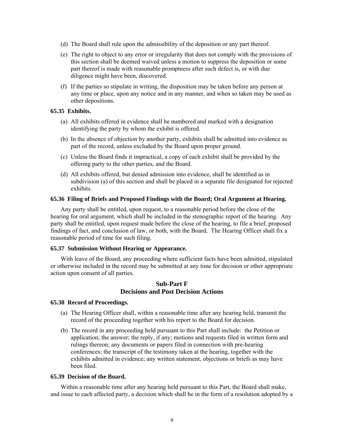- (d) The Board shall rule upon the admissibility of the deposition or any part thereof.
- (e) The right to object to any error or irregularity that does not comply with the provisions of this section shall be deemed waived unless a motion to suppress the deposition or some part thereof is made with reasonable promptness after such defect is, or with due diligence might have been, discovered.
- (f) If the parties so stipulate in writing, the disposition may be taken before any person at any time or place, upon any notice and in any manner, and when so taken may be used as other depositions.

## **65.35 Exhibits.**

- (a) All exhibits offered in evidence shall be numbered and marked with a designation identifying the party by whom the exhibit is offered.
- (b) In the absence of objection by another party, exhibits shall be admitted into evidence as part of the record, unless excluded by the Board upon proper ground.
- (c) Unless the Board finds it impractical, a copy of each exhibit shall be provided by the offering party to the other parties, and the Board.
- (d) All exhibits offered, but denied admission into evidence, shall be identified as in subdivision (a) of this section and shall be placed in a separate file designated for rejected exhibits.

#### **65.36 Filing of Briefs and Proposed Findings with the Board; Oral Argument at Hearing.**

 Any party shall be entitled, upon request, to a reasonable period before the close of the hearing for oral argument, which shall be included in the stenographic report of the hearing. Any party shall be entitled, upon request made before the close of the hearing, to file a brief, proposed findings of fact, and conclusion of law, or both, with the Board. The Hearing Officer shall fix a reasonable period of time for such filing.

#### **65.37 Submission Without Hearing or Appearance.**

 With leave of the Board, any proceeding where sufficient facts have been admitted, stipulated or otherwise included in the record may be submitted at any time for decision or other appropriate action upon consent of all parties.

## **Sub-Part F Decisions and Post Decision Actions**

#### **65.38 Record of Proceedings.**

- (a) The Hearing Officer shall, within a reasonable time after any hearing held, transmit the record of the proceeding together with his report to the Board for decision.
- (b) The record in any proceeding held pursuant to this Part shall include: the Petition or application; the answer; the reply, if any; motions and requests filed in written form and rulings thereon; any documents or papers filed in connection with pre-hearing conferences; the transcript of the testimony taken at the hearing, together with the exhibits admitted in evidence; any written statement, objections or briefs as may have been filed.

#### **65.39 Decision of the Board.**

 Within a reasonable time after any hearing held pursuant to this Part, the Board shall make, and issue to each affected party, a decision which shall be in the form of a resolution adopted by a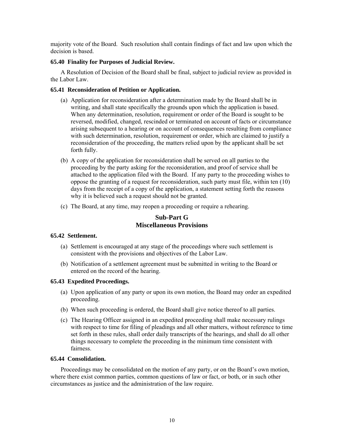majority vote of the Board. Such resolution shall contain findings of fact and law upon which the decision is based.

## **65.40 Finality for Purposes of Judicial Review.**

 A Resolution of Decision of the Board shall be final, subject to judicial review as provided in the Labor Law.

## **65.41 Reconsideration of Petition or Application.**

- (a) Application for reconsideration after a determination made by the Board shall be in writing, and shall state specifically the grounds upon which the application is based. When any determination, resolution, requirement or order of the Board is sought to be reversed, modified, changed, rescinded or terminated on account of facts or circumstance arising subsequent to a hearing or on account of consequences resulting from compliance with such determination, resolution, requirement or order, which are claimed to justify a reconsideration of the proceeding, the matters relied upon by the applicant shall be set forth fully.
- (b) A copy of the application for reconsideration shall be served on all parties to the proceeding by the party asking for the reconsideration, and proof of service shall be attached to the application filed with the Board. If any party to the proceeding wishes to oppose the granting of a request for reconsideration, such party must file, within ten (10) days from the receipt of a copy of the application, a statement setting forth the reasons why it is believed such a request should not be granted.
- (c) The Board, at any time, may reopen a proceeding or require a rehearing.

## **Sub-Part G Miscellaneous Provisions**

### **65.42 Settlement.**

- (a) Settlement is encouraged at any stage of the proceedings where such settlement is consistent with the provisions and objectives of the Labor Law.
- (b) Notification of a settlement agreement must be submitted in writing to the Board or entered on the record of the hearing.

### **65.43 Expedited Proceedings.**

- (a) Upon application of any party or upon its own motion, the Board may order an expedited proceeding.
- (b) When such proceeding is ordered, the Board shall give notice thereof to all parties.
- (c) The Hearing Officer assigned in an expedited proceeding shall make necessary rulings with respect to time for filing of pleadings and all other matters, without reference to time set forth in these rules, shall order daily transcripts of the hearings, and shall do all other things necessary to complete the proceeding in the minimum time consistent with fairness.

## **65.44 Consolidation.**

 Proceedings may be consolidated on the motion of any party, or on the Board's own motion, where there exist common parties, common questions of law or fact, or both, or in such other circumstances as justice and the administration of the law require.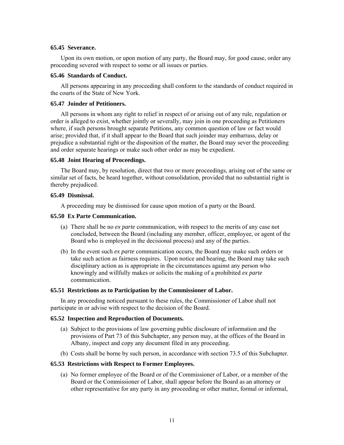### **65.45 Severance.**

 Upon its own motion, or upon motion of any party, the Board may, for good cause, order any proceeding severed with respect to some or all issues or parties.

### **65.46 Standards of Conduct.**

 All persons appearing in any proceeding shall conform to the standards of conduct required in the courts of the State of New York.

## **65.47 Joinder of Petitioners.**

 All persons in whom any right to relief in respect of or arising out of any rule, regulation or order is alleged to exist, whether jointly or severally, may join in one proceeding as Petitioners where, if such persons brought separate Petitions, any common question of law or fact would arise; provided that, if it shall appear to the Board that such joinder may embarrass, delay or prejudice a substantial right or the disposition of the matter, the Board may sever the proceeding and order separate hearings or make such other order as may be expedient.

#### **65.48 Joint Hearing of Proceedings.**

 The Board may, by resolution, direct that two or more proceedings, arising out of the same or similar set of facts, be heard together, without consolidation, provided that no substantial right is thereby prejudiced.

### **65.49 Dismissal.**

A proceeding may be dismissed for cause upon motion of a party or the Board.

## **65.50 Ex Parte Communication.**

- (a) There shall be no *ex parte* communication, with respect to the merits of any case not concluded, between the Board (including any member, officer, employee, or agent of the Board who is employed in the decisional process) and any of the parties.
- (b) In the event such *ex parte* communication occurs, the Board may make such orders or take such action as fairness requires. Upon notice and hearing, the Board may take such disciplinary action as is appropriate in the circumstances against any person who knowingly and willfully makes or solicits the making of a prohibited *ex parte* communication.

### **65.51 Restrictions as to Participation by the Commissioner of Labor.**

 In any proceeding noticed pursuant to these rules, the Commissioner of Labor shall not participate in or advise with respect to the decision of the Board.

## **65.52 Inspection and Reproduction of Documents.**

- (a) Subject to the provisions of law governing public disclosure of information and the provisions of Part 73 of this Subchapter, any person may, at the offices of the Board in Albany, inspect and copy any document filed in any proceeding.
- (b) Costs shall be borne by such person, in accordance with section 73.5 of this Subchapter.

### **65.53 Restrictions with Respect to Former Employees.**

(a) No former employee of the Board or of the Commissioner of Labor, or a member of the Board or the Commissioner of Labor, shall appear before the Board as an attorney or other representative for any party in any proceeding or other matter, formal or informal,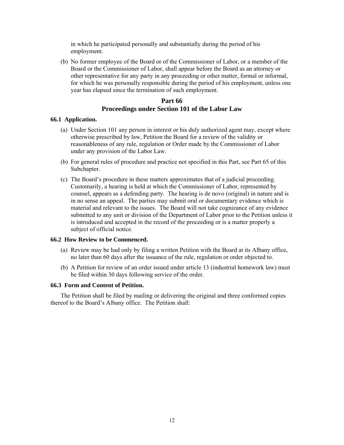in which he participated personally and substantially during the period of his employment.

(b) No former employee of the Board or of the Commissioner of Labor, or a member of the Board or the Commissioner of Labor, shall appear before the Board as an attorney or other representative for any party in any proceeding or other matter, formal or informal, for which he was personally responsible during the period of his employment, unless one year has elapsed since the termination of such employment.

## **Part 66 Proceedings under Section 101 of the Labor Law**

## **66.1 Application.**

- (a) Under Section 101 any person in interest or his duly authorized agent may, except where otherwise prescribed by law, Petition the Board for a review of the validity or reasonableness of any rule, regulation or Order made by the Commissioner of Labor under any provision of the Labor Law.
- (b) For general rules of procedure and practice not specified in this Part, see Part 65 of this Subchapter.
- (c) The Board's procedure in these matters approximates that of a judicial proceeding. Customarily, a hearing is held at which the Commissioner of Labor, represented by counsel, appears as a defending party. The hearing is de novo (original) in nature and is in no sense an appeal. The parties may submit oral or documentary evidence which is material and relevant to the issues. The Board will not take cognizance of any evidence submitted to any unit or division of the Department of Labor prior to the Petition unless it is introduced and accepted in the record of the proceeding or is a matter properly a subject of official notice.

### **66.2 How Review to be Commenced.**

- (a) Review may be had only by filing a written Petition with the Board at its Albany office, no later than 60 days after the issuance of the rule, regulation or order objected to.
- (b) A Petition for review of an order issued under article 13 (industrial homework law) must be filed within 30 days following service of the order.

### **66.3 Form and Content of Petition.**

 The Petition shall be filed by mailing or delivering the original and three conformed copies thereof to the Board's Albany office. The Petition shall: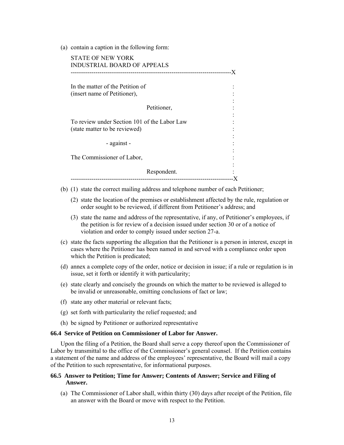(a) contain a caption in the following form:

| -------------------------------                                               |  |
|-------------------------------------------------------------------------------|--|
| In the matter of the Petition of                                              |  |
| (insert name of Petitioner),                                                  |  |
| Petitioner,                                                                   |  |
| To review under Section 101 of the Labor Law<br>(state matter to be reviewed) |  |
| - against -                                                                   |  |
| The Commissioner of Labor,                                                    |  |
| Respondent.                                                                   |  |

- (b) (1) state the correct mailing address and telephone number of each Petitioner;
	- (2) state the location of the premises or establishment affected by the rule, regulation or order sought to be reviewed, if different from Petitioner's address; and
	- (3) state the name and address of the representative, if any, of Petitioner's employees, if the petition is for review of a decision issued under section 30 or of a notice of violation and order to comply issued under section 27-a.
- (c) state the facts supporting the allegation that the Petitioner is a person in interest, except in cases where the Petitioner has been named in and served with a compliance order upon which the Petition is predicated;
- (d) annex a complete copy of the order, notice or decision in issue; if a rule or regulation is in issue, set it forth or identify it with particularity;
- (e) state clearly and concisely the grounds on which the matter to be reviewed is alleged to be invalid or unreasonable, omitting conclusions of fact or law;
- (f) state any other material or relevant facts;
- (g) set forth with particularity the relief requested; and
- (h) be signed by Petitioner or authorized representative

## **66.4 Service of Petition on Commissioner of Labor for Answer.**

 Upon the filing of a Petition, the Board shall serve a copy thereof upon the Commissioner of Labor by transmittal to the office of the Commissioner's general counsel. If the Petition contains a statement of the name and address of the employees' representative, the Board will mail a copy of the Petition to such representative, for informational purposes.

### **66.5 Answer to Petition; Time for Answer; Contents of Answer; Service and Filing of Answer.**

(a) The Commissioner of Labor shall, within thirty (30) days after receipt of the Petition, file an answer with the Board or move with respect to the Petition.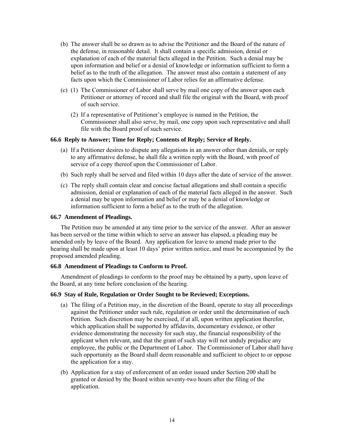- (b) The answer shall be so drawn as to advise the Petitioner and the Board of the nature of the defense, in reasonable detail. It shall contain a specific admission, denial or explanation of each of the material facts alleged in the Petition. Such a denial may be upon information and belief or a denial of knowledge or information sufficient to form a belief as to the truth of the allegation. The answer must also contain a statement of any facts upon which the Commissioner of Labor relies for an affirmative defense.
- (c) (1) The Commissioner of Labor shall serve by mail one copy of the answer upon each Petitioner or attorney of record and shall file the original with the Board, with proof of such service.
	- (2) If a representative of Petitioner's employee is named in the Petition, the Commissioner shall also serve, by mail, one copy upon such representative and shall file with the Board proof of such service.

## **66.6 Reply to Answer; Time for Reply; Contents of Reply; Service of Reply.**

- (a) If a Petitioner desires to dispute any allegations in an answer other than denials, or reply to any affirmative defense, he shall file a written reply with the Board, with proof of service of a copy thereof upon the Commissioner of Labor.
- (b) Such reply shall be served and filed within 10 days after the date of service of the answer.
- (c) The reply shall contain clear and concise factual allegations and shall contain a specific admission, denial or explanation of each of the material facts alleged in the answer. Such a denial may be upon information and belief or may be a denial of knowledge or information sufficient to form a belief as to the truth of the allegation.

## **66.7 Amendment of Pleadings.**

 The Petition may be amended at any time prior to the service of the answer. After an answer has been served or the time within which to serve an answer has elapsed, a pleading may be amended only by leave of the Board. Any application for leave to amend made prior to the hearing shall be made upon at least 10 days' prior written notice, and must be accompanied by the proposed amended pleading.

### **66.8 Amendment of Pleadings to Conform to Proof.**

 Amendment of pleadings to conform to the proof may be obtained by a party, upon leave of the Board, at any time before conclusion of the hearing.

### **66.9 Stay of Rule, Regulation or Order Sought to be Reviewed; Exceptions.**

- (a) The filing of a Petition may, in the discretion of the Board, operate to stay all proceedings against the Petitioner under such rule, regulation or order until the determination of such Petition. Such discretion may be exercised, if at all, upon written application therefor, which application shall be supported by affidavits, documentary evidence, or other evidence demonstrating the necessity for such stay, the financial responsibility of the applicant when relevant, and that the grant of such stay will not unduly prejudice any employee, the public or the Department of Labor. The Commissioner of Labor shall have such opportunity as the Board shall deem reasonable and sufficient to object to or oppose the application for a stay.
- (b) Application for a stay of enforcement of an order issued under Section 200 shall be granted or denied by the Board within seventy-two hours after the filing of the application.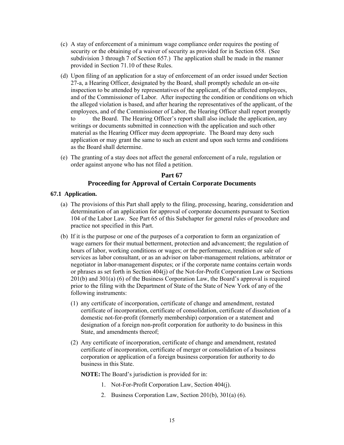- (c) A stay of enforcement of a minimum wage compliance order requires the posting of security or the obtaining of a waiver of security as provided for in Section 658. (See subdivision 3 through 7 of Section 657.) The application shall be made in the manner provided in Section 71.10 of these Rules.
- (d) Upon filing of an application for a stay of enforcement of an order issued under Section 27-a, a Hearing Officer, designated by the Board, shall promptly schedule an on-site inspection to be attended by representatives of the applicant, of the affected employees, and of the Commissioner of Labor. After inspecting the condition or conditions on which the alleged violation is based, and after hearing the representatives of the applicant, of the employees, and of the Commissioner of Labor, the Hearing Officer shall report promptly to the Board. The Hearing Officer's report shall also include the application, any writings or documents submitted in connection with the application and such other material as the Hearing Officer may deem appropriate. The Board may deny such application or may grant the same to such an extent and upon such terms and conditions as the Board shall determine.
- (e) The granting of a stay does not affect the general enforcement of a rule, regulation or order against anyone who has not filed a petition.

## **Part 67 Proceeding for Approval of Certain Corporate Documents**

## **67.1 Application.**

- (a) The provisions of this Part shall apply to the filing, processing, hearing, consideration and determination of an application for approval of corporate documents pursuant to Section 104 of the Labor Law. See Part 65 of this Subchapter for general rules of procedure and practice not specified in this Part.
- (b) If it is the purpose or one of the purposes of a corporation to form an organization of wage earners for their mutual betterment, protection and advancement; the regulation of hours of labor, working conditions or wages; or the performance, rendition or sale of services as labor consultant, or as an advisor on labor-management relations, arbitrator or negotiator in labor-management disputes; or if the corporate name contains certain words or phrases as set forth in Section 404(j) of the Not-for-Profit Corporation Law or Sections 201(b) and 301(a) (6) of the Business Corporation Law, the Board's approval is required prior to the filing with the Department of State of the State of New York of any of the following instruments:
	- (1) any certificate of incorporation, certificate of change and amendment, restated certificate of incorporation, certificate of consolidation, certificate of dissolution of a domestic not-for-profit (formerly membership) corporation or a statement and designation of a foreign non-profit corporation for authority to do business in this State, and amendments thereof;
	- (2) Any certificate of incorporation, certificate of change and amendment, restated certificate of incorporation, certificate of merger or consolidation of a business corporation or application of a foreign business corporation for authority to do business in this State.

**NOTE:** The Board's jurisdiction is provided for in:

- 1. Not-For-Profit Corporation Law, Section 404(j).
- 2. Business Corporation Law, Section 201(b), 301(a) (6).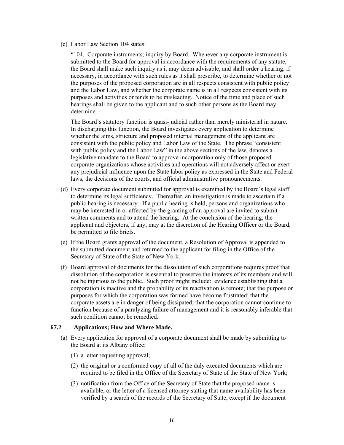(c) Labor Law Section 104 states:

"104. Corporate instruments; inquiry by Board. Whenever any corporate instrument is submitted to the Board for approval in accordance with the requirements of any statute, the Board shall make such inquiry as it may deem advisable, and shall order a hearing, if necessary, in accordance with such rules as it shall prescribe, to determine whether or not the purposes of the proposed corporation are in all respects consistent with public policy and the Labor Law, and whether the corporate name is in all respects consistent with its purposes and activities or tends to be misleading. Notice of the time and place of such hearings shall be given to the applicant and to such other persons as the Board may determine.

The Board's statutory function is quasi-judicial rather than merely ministerial in nature. In discharging this function, the Board investigates every application to determine whether the aims, structure and proposed internal management of the applicant are consistent with the public policy and Labor Law of the State. The phrase "consistent with public policy and the Labor Law" in the above sections of the law, denotes a legislative mandate to the Board to approve incorporation only of those proposed corporate organizations whose activities and operations will not adversely affect or exert any prejudicial influence upon the State labor policy as expressed in the State and Federal laws, the decisions of the courts, and official administrative pronouncements.

- (d) Every corporate document submitted for approval is examined by the Board's legal staff to determine its legal sufficiency. Thereafter, an investigation is made to ascertain if a public hearing is necessary. If a public hearing is held, persons and organizations who may be interested in or affected by the granting of an approval are invited to submit written comments and to attend the hearing. At the conclusion of the hearing, the applicant and objectors, if any, may at the discretion of the Hearing Officer or the Board, be permitted to file briefs.
- (e) If the Board grants approval of the document, a Resolution of Approval is appended to the submitted document and returned to the applicant for filing in the Office of the Secretary of State of the State of New York.
- (f) Board approval of documents for the dissolution of such corporations requires proof that dissolution of the corporation is essential to preserve the interests of its members and will not be injurious to the public. Such proof might include: evidence establishing that a corporation is inactive and the probability of its reactivation is remote; that the purpose or purposes for which the corporation was formed have become frustrated; that the corporate assets are in danger of being dissipated; that the corporation cannot continue to function because of a paralyzing failure of management and it is reasonably inferable that such condition cannot be remedied.

### **67.2 Applications; How and Where Made.**

- (a) Every application for approval of a corporate document shall be made by submitting to the Board at its Albany office:
	- (1) a letter requesting approval;
	- (2) the original or a conformed copy of all of the duly executed documents which are required to be filed in the Office of the Secretary of State of the State of New York;
	- (3) notification from the Office of the Secretary of State that the proposed name is available, or the letter of a licensed attorney stating that name availability has been verified by a search of the records of the Secretary of State, except if the document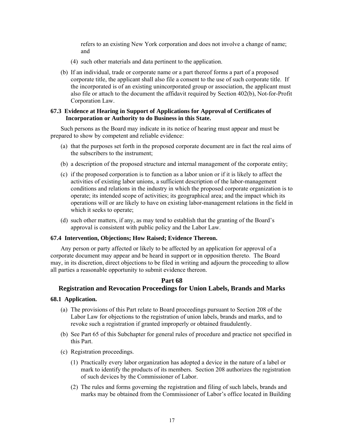refers to an existing New York corporation and does not involve a change of name; and

- (4) such other materials and data pertinent to the application.
- (b) If an individual, trade or corporate name or a part thereof forms a part of a proposed corporate title, the applicant shall also file a consent to the use of such corporate title. If the incorporated is of an existing unincorporated group or association, the applicant must also file or attach to the document the affidavit required by Section 402(b), Not-for-Profit Corporation Law.

## **67.3 Evidence at Hearing in Support of Applications for Approval of Certificates of Incorporation or Authority to do Business in this State.**

 Such persons as the Board may indicate in its notice of hearing must appear and must be prepared to show by competent and reliable evidence:

- (a) that the purposes set forth in the proposed corporate document are in fact the real aims of the subscribers to the instrument;
- (b) a description of the proposed structure and internal management of the corporate entity;
- (c) if the proposed corporation is to function as a labor union or if it is likely to affect the activities of existing labor unions, a sufficient description of the labor-management conditions and relations in the industry in which the proposed corporate organization is to operate; its intended scope of activities; its geographical area; and the impact which its operations will or are likely to have on existing labor-management relations in the field in which it seeks to operate;
- (d) such other matters, if any, as may tend to establish that the granting of the Board's approval is consistent with public policy and the Labor Law.

### **67.4 Intervention, Objections; How Raised; Evidence Thereon.**

 Any person or party affected or likely to be affected by an application for approval of a corporate document may appear and be heard in support or in opposition thereto. The Board may, in its discretion, direct objections to be filed in writing and adjourn the proceeding to allow all parties a reasonable opportunity to submit evidence thereon.

### **Part 68**

## **Registration and Revocation Proceedings for Union Labels, Brands and Marks**

### **68.1 Application.**

- (a) The provisions of this Part relate to Board proceedings pursuant to Section 208 of the Labor Law for objections to the registration of union labels, brands and marks, and to revoke such a registration if granted improperly or obtained fraudulently.
- (b) See Part 65 of this Subchapter for general rules of procedure and practice not specified in this Part.
- (c) Registration proceedings.
	- (1) Practically every labor organization has adopted a device in the nature of a label or mark to identify the products of its members. Section 208 authorizes the registration of such devices by the Commissioner of Labor.
	- (2) The rules and forms governing the registration and filing of such labels, brands and marks may be obtained from the Commissioner of Labor's office located in Building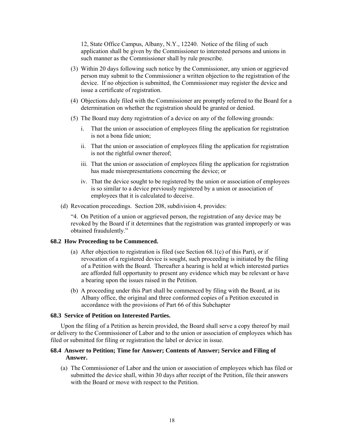12, State Office Campus, Albany, N.Y., 12240. Notice of the filing of such application shall be given by the Commissioner to interested persons and unions in such manner as the Commissioner shall by rule prescribe.

- (3) Within 20 days following such notice by the Commissioner, any union or aggrieved person may submit to the Commissioner a written objection to the registration of the device. If no objection is submitted, the Commissioner may register the device and issue a certificate of registration.
- (4) Objections duly filed with the Commissioner are promptly referred to the Board for a determination on whether the registration should be granted or denied.
- (5) The Board may deny registration of a device on any of the following grounds:
	- i. That the union or association of employees filing the application for registration is not a bona fide union;
	- ii. That the union or association of employees filing the application for registration is not the rightful owner thereof;
	- iii. That the union or association of employees filing the application for registration has made misrepresentations concerning the device; or
	- iv. That the device sought to be registered by the union or association of employees is so similar to a device previously registered by a union or association of employees that it is calculated to deceive.
- (d) Revocation proceedings. Section 208, subdivision 4, provides:

"4. On Petition of a union or aggrieved person, the registration of any device may be revoked by the Board if it determines that the registration was granted improperly or was obtained fraudulently."

### **68.2 How Proceeding to be Commenced.**

- (a) After objection to registration is filed (see Section 68.1(c) of this Part), or if revocation of a registered device is sought, such proceeding is initiated by the filing of a Petition with the Board. Thereafter a hearing is held at which interested parties are afforded full opportunity to present any evidence which may be relevant or have a bearing upon the issues raised in the Petition.
- (b) A proceeding under this Part shall be commenced by filing with the Board, at its Albany office, the original and three conformed copies of a Petition executed in accordance with the provisions of Part 66 of this Subchapter

### **68.3 Service of Petition on Interested Parties.**

 Upon the filing of a Petition as herein provided, the Board shall serve a copy thereof by mail or delivery to the Commissioner of Labor and to the union or association of employees which has filed or submitted for filing or registration the label or device in issue.

## **68.4 Answer to Petition; Time for Answer; Contents of Answer; Service and Filing of Answer.**

(a) The Commissioner of Labor and the union or association of employees which has filed or submitted the device shall, within 30 days after receipt of the Petition, file their answers with the Board or move with respect to the Petition.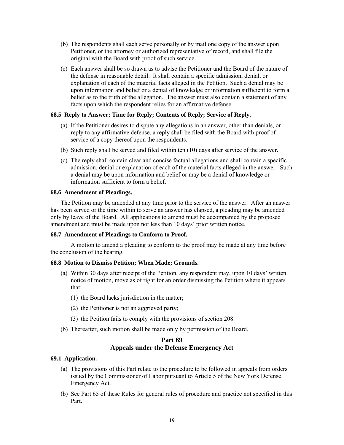- (b) The respondents shall each serve personally or by mail one copy of the answer upon Petitioner, or the attorney or authorized representative of record, and shall file the original with the Board with proof of such service.
- (c) Each answer shall be so drawn as to advise the Petitioner and the Board of the nature of the defense in reasonable detail. It shall contain a specific admission, denial, or explanation of each of the material facts alleged in the Petition. Such a denial may be upon information and belief or a denial of knowledge or information sufficient to form a belief as to the truth of the allegation. The answer must also contain a statement of any facts upon which the respondent relies for an affirmative defense.

## **68.5 Reply to Answer; Time for Reply; Contents of Reply; Service of Reply.**

- (a) If the Petitioner desires to dispute any allegations in an answer, other than denials, or reply to any affirmative defense, a reply shall be filed with the Board with proof of service of a copy thereof upon the respondents.
- (b) Such reply shall be served and filed within ten (10) days after service of the answer.
- (c) The reply shall contain clear and concise factual allegations and shall contain a specific admission, denial or explanation of each of the material facts alleged in the answer. Such a denial may be upon information and belief or may be a denial of knowledge or information sufficient to form a belief.

### **68.6 Amendment of Pleadings.**

 The Petition may be amended at any time prior to the service of the answer. After an answer has been served or the time within to serve an answer has elapsed, a pleading may be amended only by leave of the Board. All applications to amend must be accompanied by the proposed amendment and must be made upon not less than 10 days' prior written notice.

## **68.7 Amendment of Pleadings to Conform to Proof.**

 A motion to amend a pleading to conform to the proof may be made at any time before the conclusion of the hearing.

## **68.8 Motion to Dismiss Petition; When Made; Grounds.**

- (a) Within 30 days after receipt of the Petition, any respondent may, upon 10 days' written notice of motion, move as of right for an order dismissing the Petition where it appears that:
	- (1) the Board lacks jurisdiction in the matter;
	- (2) the Petitioner is not an aggrieved party;
	- (3) the Petition fails to comply with the provisions of section 208.
- (b) Thereafter, such motion shall be made only by permission of the Board.

## **Part 69 Appeals under the Defense Emergency Act**

### **69.1 Application.**

- (a) The provisions of this Part relate to the procedure to be followed in appeals from orders issued by the Commissioner of Labor pursuant to Article 5 of the New York Defense Emergency Act.
- (b) See Part 65 of these Rules for general rules of procedure and practice not specified in this Part.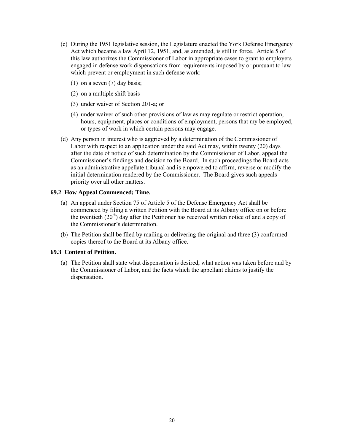- (c) During the 1951 legislative session, the Legislature enacted the York Defense Emergency Act which became a law April 12, 1951, and, as amended, is still in force. Article 5 of this law authorizes the Commissioner of Labor in appropriate cases to grant to employers engaged in defense work dispensations from requirements imposed by or pursuant to law which prevent or employment in such defense work:
	- (1) on a seven (7) day basis;
	- (2) on a multiple shift basis
	- (3) under waiver of Section 201-a; or
	- (4) under waiver of such other provisions of law as may regulate or restrict operation, hours, equipment, places or conditions of employment, persons that my be employed, or types of work in which certain persons may engage.
- (d) Any person in interest who is aggrieved by a determination of the Commissioner of Labor with respect to an application under the said Act may, within twenty (20) days after the date of notice of such determination by the Commissioner of Labor, appeal the Commissioner's findings and decision to the Board. In such proceedings the Board acts as an administrative appellate tribunal and is empowered to affirm, reverse or modify the initial determination rendered by the Commissioner. The Board gives such appeals priority over all other matters.

## **69.2 How Appeal Commenced; Time.**

- (a) An appeal under Section 75 of Article 5 of the Defense Emergency Act shall be commenced by filing a written Petition with the Board at its Albany office on or before the twentieth  $(20<sup>th</sup>)$  day after the Petitioner has received written notice of and a copy of the Commissioner's determination.
- (b) The Petition shall be filed by mailing or delivering the original and three (3) conformed copies thereof to the Board at its Albany office.

## **69.3 Content of Petition.**

(a) The Petition shall state what dispensation is desired, what action was taken before and by the Commissioner of Labor, and the facts which the appellant claims to justify the dispensation.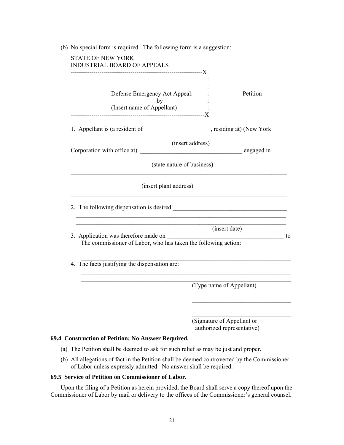| STATE OF NEW YORK<br><b>INDUSTRIAL BOARD OF APPEALS</b>           |                                                                                                                |
|-------------------------------------------------------------------|----------------------------------------------------------------------------------------------------------------|
| Defense Emergency Act Appeal:<br>by<br>(Insert name of Appellant) | Petition                                                                                                       |
| 1. Appellant is (a resident of                                    | , residing at) (New York                                                                                       |
|                                                                   | (insert address)                                                                                               |
|                                                                   | (state nature of business)                                                                                     |
|                                                                   | (insert plant address)                                                                                         |
|                                                                   |                                                                                                                |
| 3. Application was therefore made on                              | (insert date)<br>$\overline{\phantom{a}}$ to<br>The commissioner of Labor, who has taken the following action: |
|                                                                   | 4. The facts justifying the dispensation are: __________________________________                               |
|                                                                   | (Type name of Appellant)                                                                                       |
|                                                                   | (Signature of Appellant or<br>authorized representative)                                                       |

- (a) The Petition shall be deemed to ask for such relief as may be just and proper.
- (b) All allegations of fact in the Petition shall be deemed controverted by the Commissioner of Labor unless expressly admitted. No answer shall be required.

## **69.5 Service of Petition on Commissioner of Labor.**

 Upon the filing of a Petition as herein provided, the Board shall serve a copy thereof upon the Commissioner of Labor by mail or delivery to the offices of the Commissioner's general counsel.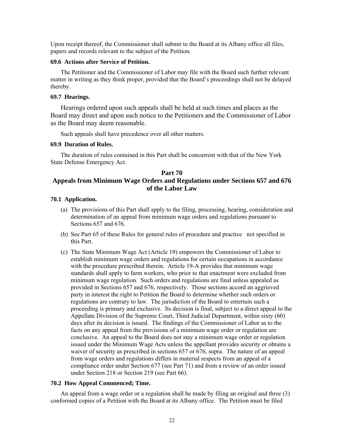Upon receipt thereof, the Commissioner shall submit to the Board at its Albany office all files, papers and records relevant to the subject of the Petition.

### **69.6 Actions after Service of Petition.**

 The Petitioner and the Commissioner of Labor may file with the Board such further relevant matter in writing as they think proper, provided that the Board's proceedings shall not be delayed thereby.

## **69.7 Hearings.**

 Hearings ordered upon such appeals shall be held at such times and places as the Board may direct and upon such notice to the Petitioners and the Commissioner of Labor as the Board may deem reasonable.

Such appeals shall have precedence over all other matters.

#### **69.9 Duration of Rules.**

 The duration of rules contained in this Part shall be concurrent with that of the New York State Defense Emergency Act.

## **Part 70 Appeals from Minimum Wage Orders and Regulations under Sections 657 and 676 of the Labor Law**

### **70.1 Application.**

- (a) The provisions of this Part shall apply to the filing, processing, hearing, consideration and determination of an appeal from minimum wage orders and regulations pursuant to Sections 657 and 676.
- (b) See Part 65 of these Rules for general rules of procedure and practice not specified in this Part.
- (c) The State Minimum Wage Act (Article 19) empowers the Commissioner of Labor to establish minimum wage orders and regulations for certain occupations in accordance with the procedure prescribed therein. Article 19-A provides that minimum wage standards shall apply to farm workers, who prior to that enactment were excluded from minimum wage regulation. Such orders and regulations are final unless appealed as provided in Sections 657 and 676, respectively. Those sections accord an aggrieved party in interest the right to Petition the Board to determine whether such orders or regulations are contrary to law. The jurisdiction of the Board to entertain such a proceeding is primary and exclusive. Its decision is final, subject to a direct appeal to the Appellate Division of the Supreme Court, Third Judicial Department, within sixty (60) days after its decision is issued. The findings of the Commissioner of Labor as to the facts on any appeal from the provisions of a minimum wage order or regulation are conclusive. An appeal to the Board does not stay a minimum wage order or regulation issued under the Minimum Wage Acts unless the appellant provides security or obtains a waiver of security as prescribed in sections 657 or 676, supra. The nature of an appeal from wage orders and regulations differs in material respects from an appeal of a compliance order under Section 677 (see Part 71) and from a review of an order issued under Section 218 or Section 219 (see Part 66).

### **70.2 How Appeal Commenced; Time.**

 An appeal from a wage order or a regulation shall be made by filing an original and three (3) conformed copies of a Petition with the Board at its Albany office. The Petition must be filed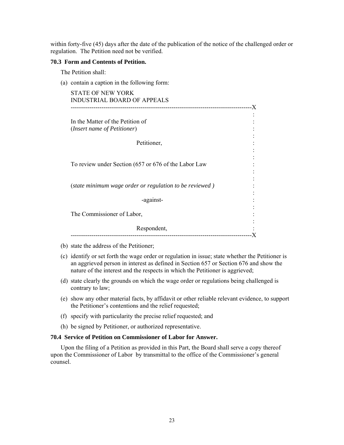within forty-five (45) days after the date of the publication of the notice of the challenged order or regulation. The Petition need not be verified.

### **70.3 Form and Contents of Petition.**

The Petition shall:

(a) contain a caption in the following form:

| <b>STATE OF NEW YORK</b><br><b>INDUSTRIAL BOARD OF APPEALS</b>           |    |
|--------------------------------------------------------------------------|----|
|                                                                          | .X |
| In the Matter of the Petition of<br>( <i>Insert name of Petitioner</i> ) |    |
| Petitioner,                                                              |    |
| To review under Section (657 or 676 of the Labor Law                     |    |
| (state minimum wage order or regulation to be reviewed)                  |    |
| -against-                                                                |    |
| The Commissioner of Labor,                                               |    |
| Respondent,                                                              |    |

- (b) state the address of the Petitioner;
- (c) identify or set forth the wage order or regulation in issue; state whether the Petitioner is an aggrieved person in interest as defined in Section 657 or Section 676 and show the nature of the interest and the respects in which the Petitioner is aggrieved;
- (d) state clearly the grounds on which the wage order or regulations being challenged is contrary to law;
- (e) show any other material facts, by affidavit or other reliable relevant evidence, to support the Petitioner's contentions and the relief requested;
- (f) specify with particularity the precise relief requested; and
- (h) be signed by Petitioner, or authorized representative.

## **70.4 Service of Petition on Commissioner of Labor for Answer.**

Upon the filing of a Petition as provided in this Part, the Board shall serve a copy thereof upon the Commissioner of Labor by transmittal to the office of the Commissioner's general counsel.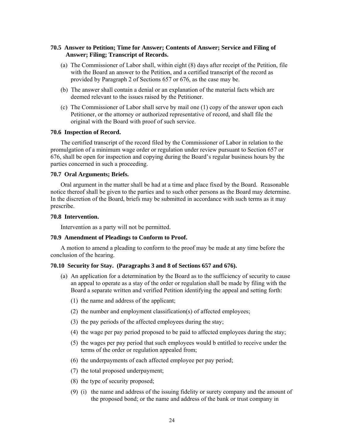## **70.5 Answer to Petition; Time for Answer; Contents of Answer; Service and Filing of Answer; Filing; Transcript of Records.**

- (a) The Commissioner of Labor shall, within eight (8) days after receipt of the Petition, file with the Board an answer to the Petition, and a certified transcript of the record as provided by Paragraph 2 of Sections 657 or 676, as the case may be.
- (b) The answer shall contain a denial or an explanation of the material facts which are deemed relevant to the issues raised by the Petitioner.
- (c) The Commissioner of Labor shall serve by mail one (1) copy of the answer upon each Petitioner, or the attorney or authorized representative of record, and shall file the original with the Board with proof of such service.

### **70.6 Inspection of Record.**

 The certified transcript of the record filed by the Commissioner of Labor in relation to the promulgation of a minimum wage order or regulation under review pursuant to Section 657 or 676, shall be open for inspection and copying during the Board's regular business hours by the parties concerned in such a proceeding.

## **70.7 Oral Arguments; Briefs.**

 Oral argument in the matter shall be had at a time and place fixed by the Board. Reasonable notice thereof shall be given to the parties and to such other persons as the Board may determine. In the discretion of the Board, briefs may be submitted in accordance with such terms as it may prescribe.

## **70.8 Intervention.**

Intervention as a party will not be permitted.

## **70.9 Amendment of Pleadings to Conform to Proof.**

 A motion to amend a pleading to conform to the proof may be made at any time before the conclusion of the hearing.

## **70.10 Security for Stay. (Paragraphs 3 and 8 of Sections 657 and 676).**

- (a) An application for a determination by the Board as to the sufficiency of security to cause an appeal to operate as a stay of the order or regulation shall be made by filing with the Board a separate written and verified Petition identifying the appeal and setting forth:
	- (1) the name and address of the applicant;
	- (2) the number and employment classification(s) of affected employees;
	- (3) the pay periods of the affected employees during the stay;
	- (4) the wage per pay period proposed to be paid to affected employees during the stay;
	- (5) the wages per pay period that such employees would b entitled to receive under the terms of the order or regulation appealed from;
	- (6) the underpayments of each affected employee per pay period;
	- (7) the total proposed underpayment;
	- (8) the type of security proposed;
	- (9) (і) the name and address of the issuing fidelity or surety company and the amount of the proposed bond; or the name and address of the bank or trust company in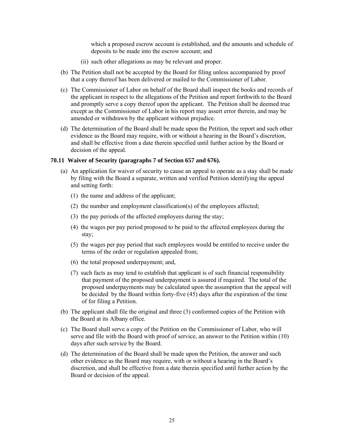which a proposed escrow account is established, and the amounts and schedule of deposits to be made into the escrow account; and

- (ii) such other allegations as may be relevant and proper.
- (b) The Petition shall not be accepted by the Board for filing unless accompanied by proof that a copy thereof has been delivered or mailed to the Commissioner of Labor.
- (c) The Commissioner of Labor on behalf of the Board shall inspect the books and records of the applicant in respect to the allegations of the Petition and report forthwith to the Board and promptly serve a copy thereof upon the applicant. The Petition shall be deemed true except as the Commissioner of Labor in his report may assert error therein, and may be amended or withdrawn by the applicant without prejudice.
- (d) The determination of the Board shall be made upon the Petition, the report and such other evidence as the Board may require, with or without a hearing in the Board's discretion, and shall be effective from a date therein specified until further action by the Board or decision of the appeal.

## **70.11 Waiver of Security (paragraphs 7 of Section 657 and 676).**

- (a) An application for waiver of security to cause an appeal to operate as a stay shall be made by filing with the Board a separate, written and verified Petition identifying the appeal and setting forth:
	- (1) the name and address of the applicant;
	- (2) the number and employment classification(s) of the employees affected;
	- (3) the pay periods of the affected employees during the stay;
	- (4) the wages per pay period proposed to be paid to the affected employees during the stay;
	- (5) the wages per pay period that such employees would be entitled to receive under the terms of the order or regulation appealed from;
	- (6) the total proposed underpayment; and,
	- (7) such facts as may tend to establish that applicant is of such financial responsibility that payment of the proposed underpayment is assured if required. The total of the proposed underpayments may be calculated upon the assumption that the appeal will be decided by the Board within forty-five (45) days after the expiration of the time of for filing a Petition.
- (b) The applicant shall file the original and three (3) conformed copies of the Petition with the Board at its Albany office.
- (c) The Board shall serve a copy of the Petition on the Commissioner of Labor, who will serve and file with the Board with proof of service, an answer to the Petition within (10) days after such service by the Board.
- (d) The determination of the Board shall be made upon the Petition, the answer and such other evidence as the Board may require, with or without a hearing in the Board's discretion, and shall be effective from a date therein specified until further action by the Board or decision of the appeal.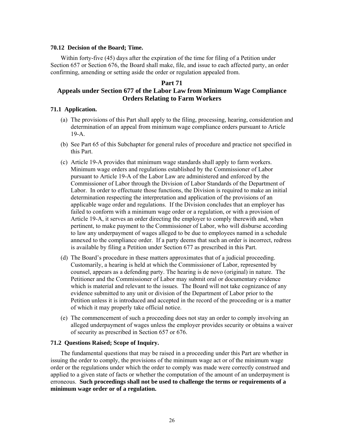### **70.12 Decision of the Board; Time.**

 Within forty-five (45) days after the expiration of the time for filing of a Petition under Section 657 or Section 676, the Board shall make, file, and issue to each affected party, an order confirming, amending or setting aside the order or regulation appealed from.

### **Part 71**

## **Appeals under Section 677 of the Labor Law from Minimum Wage Compliance Orders Relating to Farm Workers**

### **71.1 Application.**

- (a) The provisions of this Part shall apply to the filing, processing, hearing, consideration and determination of an appeal from minimum wage compliance orders pursuant to Article 19-A.
- (b) See Part 65 of this Subchapter for general rules of procedure and practice not specified in this Part.
- (c) Article 19-A provides that minimum wage standards shall apply to farm workers. Minimum wage orders and regulations established by the Commissioner of Labor pursuant to Article 19-A of the Labor Law are administered and enforced by the Commissioner of Labor through the Division of Labor Standards of the Department of Labor. In order to effectuate those functions, the Division is required to make an initial determination respecting the interpretation and application of the provisions of an applicable wage order and regulations. If the Division concludes that an employer has failed to conform with a minimum wage order or a regulation, or with a provision of Article 19-A, it serves an order directing the employer to comply therewith and, when pertinent, to make payment to the Commissioner of Labor, who will disburse according to law any underpayment of wages alleged to be due to employees named in a schedule annexed to the compliance order. If a party deems that such an order is incorrect, redress is available by filing a Petition under Section 677 as prescribed in this Part.
- (d) The Board's procedure in these matters approximates that of a judicial proceeding. Customarily, a hearing is held at which the Commissioner of Labor, represented by counsel, appears as a defending party. The hearing is de novo (original) in nature. The Petitioner and the Commissioner of Labor may submit oral or documentary evidence which is material and relevant to the issues. The Board will not take cognizance of any evidence submitted to any unit or division of the Department of Labor prior to the Petition unless it is introduced and accepted in the record of the proceeding or is a matter of which it may properly take official notice.
- (e) The commencement of such a proceeding does not stay an order to comply involving an alleged underpayment of wages unless the employer provides security or obtains a waiver of security as prescribed in Section 657 or 676.

## **71.2 Questions Raised; Scope of Inquiry.**

 The fundamental questions that may be raised in a proceeding under this Part are whether in issuing the order to comply, the provisions of the minimum wage act or of the minimum wage order or the regulations under which the order to comply was made were correctly construed and applied to a given state of facts or whether the computation of the amount of an underpayment is erroneous. **Such proceedings shall not be used to challenge the terms or requirements of a minimum wage order or of a regulation.**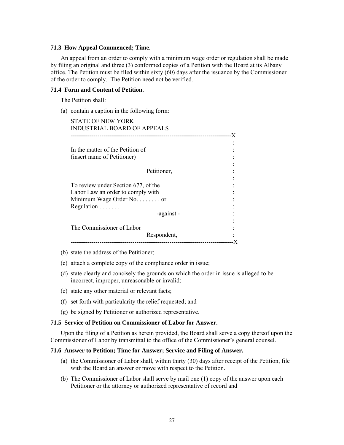### **71.3 How Appeal Commenced; Time.**

 An appeal from an order to comply with a minimum wage order or regulation shall be made by filing an original and three (3) conformed copies of a Petition with the Board at its Albany office. The Petition must be filed within sixty  $(60)$  days after the issuance by the Commissioner of the order to comply. The Petition need not be verified.

## **71.4 Form and Content of Petition.**

The Petition shall:

(a) contain a caption in the following form:

| In the matter of the Petition of<br>(insert name of Petitioner)<br>Petitioner, |  |
|--------------------------------------------------------------------------------|--|
|                                                                                |  |
|                                                                                |  |
|                                                                                |  |
| To review under Section 677, of the                                            |  |
| Labor Law an order to comply with                                              |  |
| Minimum Wage Order No. or                                                      |  |
| Regulation                                                                     |  |
| -against -                                                                     |  |

- (b) state the address of the Petitioner;
- (c) attach a complete copy of the compliance order in issue;
- (d) state clearly and concisely the grounds on which the order in issue is alleged to be incorrect, improper, unreasonable or invalid;
- (e) state any other material or relevant facts;
- (f) set forth with particularity the relief requested; and
- (g) be signed by Petitioner or authorized representative.

## **71.5 Service of Petition on Commissioner of Labor for Answer.**

 Upon the filing of a Petition as herein provided, the Board shall serve a copy thereof upon the Commissioner of Labor by transmittal to the office of the Commissioner's general counsel.

### **71.6 Answer to Petition; Time for Answer; Service and Filing of Answer.**

- (a) the Commissioner of Labor shall, within thirty (30) days after receipt of the Petition, file with the Board an answer or move with respect to the Petition.
- (b) The Commissioner of Labor shall serve by mail one (1) copy of the answer upon each Petitioner or the attorney or authorized representative of record and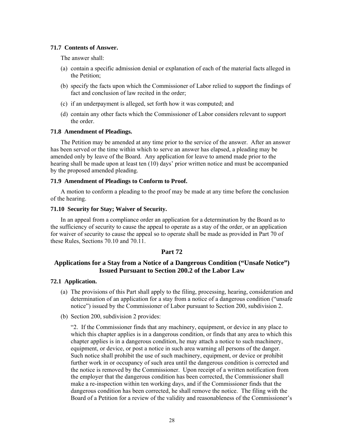## **71.7 Contents of Answer.**

The answer shall:

- (a) contain a specific admission denial or explanation of each of the material facts alleged in the Petition;
- (b) specify the facts upon which the Commissioner of Labor relied to support the findings of fact and conclusion of law recited in the order;
- (c) if an underpayment is alleged, set forth how it was computed; and
- (d) contain any other facts which the Commissioner of Labor considers relevant to support the order.

## **71.8 Amendment of Pleadings.**

 The Petition may be amended at any time prior to the service of the answer. After an answer has been served or the time within which to serve an answer has elapsed, a pleading may be amended only by leave of the Board. Any application for leave to amend made prior to the hearing shall be made upon at least ten (10) days' prior written notice and must be accompanied by the proposed amended pleading.

## **71.9 Amendment of Pleadings to Conform to Proof.**

 A motion to conform a pleading to the proof may be made at any time before the conclusion of the hearing.

## **71.10 Security for Stay; Waiver of Security.**

 In an appeal from a compliance order an application for a determination by the Board as to the sufficiency of security to cause the appeal to operate as a stay of the order, or an application for waiver of security to cause the appeal so to operate shall be made as provided in Part 70 of these Rules, Sections 70.10 and 70.11.

## **Part 72**

## **Applications for a Stay from a Notice of a Dangerous Condition ("Unsafe Notice") Issued Pursuant to Section 200.2 of the Labor Law**

## **72.1 Application.**

- (a) The provisions of this Part shall apply to the filing, processing, hearing, consideration and determination of an application for a stay from a notice of a dangerous condition ("unsafe notice") issued by the Commissioner of Labor pursuant to Section 200, subdivision 2.
- (b) Section 200, subdivision 2 provides:

"2. If the Commissioner finds that any machinery, equipment, or device in any place to which this chapter applies is in a dangerous condition, or finds that any area to which this chapter applies is in a dangerous condition, he may attach a notice to such machinery, equipment, or device, or post a notice in such area warning all persons of the danger. Such notice shall prohibit the use of such machinery, equipment, or device or prohibit further work in or occupancy of such area until the dangerous condition is corrected and the notice is removed by the Commissioner. Upon receipt of a written notification from the employer that the dangerous condition has been corrected, the Commissioner shall make a re-inspection within ten working days, and if the Commissioner finds that the dangerous condition has been corrected, he shall remove the notice. The filing with the Board of a Petition for a review of the validity and reasonableness of the Commissioner's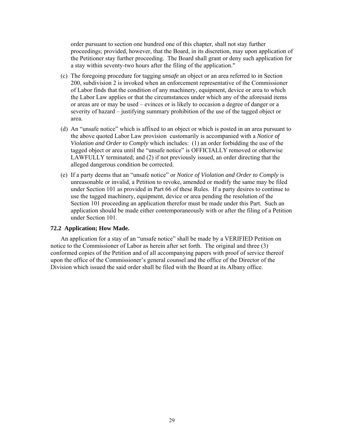order pursuant to section one hundred one of this chapter, shall not stay further proceedings; provided, however, that the Board, in its discretion, may upon application of the Petitioner stay further proceeding. The Board shall grant or deny such application for a stay within seventy-two hours after the filing of the application."

- (c) The foregoing procedure for tagging *unsafe* an object or an area referred to in Section 200, subdivision 2 is invoked when an enforcement representative of the Commissioner of Labor finds that the condition of any machinery, equipment, device or area to which the Labor Law applies or that the circumstances under which any of the aforesaid items or areas are or may be used – evinces or is likely to occasion a degree of danger or a severity of hazard – justifying summary prohibition of the use of the tagged object or area.
- (d) An "unsafe notice" which is affixed to an object or which is posted in an area pursuant to the above quoted Labor Law provision customarily is accompanied with a *Notice of Violation and Order to Comply* which includes: (1) an order forbidding the use of the tagged object or area until the "unsafe notice" is OFFICIALLY removed or otherwise LAWFULLY terminated; and (2) if not previously issued, an order directing that the alleged dangerous condition be corrected.
- (e) If a party deems that an "unsafe notice" or *Notice of Violation and Order to Comply* is unreasonable or invalid, a Petition to revoke, amended or modify the same may be filed under Section 101 as provided in Part 66 of these Rules. If a party desires to continue to use the tagged machinery, equipment, device or area pending the resolution of the Section 101 proceeding an application therefor must be made under this Part. Such an application should be made either contemporaneously with or after the filing of a Petition under Section 101.

#### **72.2 Application; How Made.**

 An application for a stay of an "unsafe notice" shall be made by a VERIFIED Petition on notice to the Commissioner of Labor as herein after set forth. The original and three (3) conformed copies of the Petition and of all accompanying papers with proof of service thereof upon the office of the Commissioner's general counsel and the office of the Director of the Division which issued the said order shall be filed with the Board at its Albany office.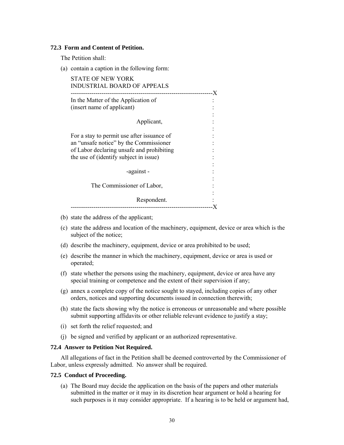### **72.3 Form and Content of Petition.**

The Petition shall:

(a) contain a caption in the following form:

| In the Matter of the Application of        |  |
|--------------------------------------------|--|
| (insert name of applicant)                 |  |
|                                            |  |
| Applicant,                                 |  |
|                                            |  |
| For a stay to permit use after issuance of |  |
| an "unsafe notice" by the Commissioner     |  |
| of Labor declaring unsafe and prohibiting  |  |
| the use of (identify subject in issue)     |  |
|                                            |  |
| -against -                                 |  |
|                                            |  |
| The Commissioner of Labor,                 |  |

- (b) state the address of the applicant;
- (c) state the address and location of the machinery, equipment, device or area which is the subject of the notice;
- (d) describe the machinery, equipment, device or area prohibited to be used;
- (e) describe the manner in which the machinery, equipment, device or area is used or operated;
- (f) state whether the persons using the machinery, equipment, device or area have any special training or competence and the extent of their supervision if any;
- (g) annex a complete copy of the notice sought to stayed, including copies of any other orders, notices and supporting documents issued in connection therewith;
- (h) state the facts showing why the notice is erroneous or unreasonable and where possible submit supporting affidavits or other reliable relevant evidence to justify a stay;
- (i) set forth the relief requested; and
- (j) be signed and verified by applicant or an authorized representative.

#### **72.4 Answer to Petition Not Required.**

 All allegations of fact in the Petition shall be deemed controverted by the Commissioner of Labor, unless expressly admitted. No answer shall be required.

### **72.5 Conduct of Proceeding.**

(a) The Board may decide the application on the basis of the papers and other materials submitted in the matter or it may in its discretion hear argument or hold a hearing for such purposes is it may consider appropriate. If a hearing is to be held or argument had,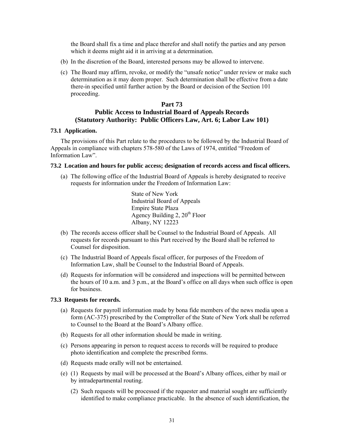the Board shall fix a time and place therefor and shall notify the parties and any person which it deems might aid it in arriving at a determination.

- (b) In the discretion of the Board, interested persons may be allowed to intervene.
- (c) The Board may affirm, revoke, or modify the "unsafe notice" under review or make such determination as it may deem proper. Such determination shall be effective from a date there-in specified until further action by the Board or decision of the Section 101 proceeding.

## **Part 73 Public Access to Industrial Board of Appeals Records (Statutory Authority: Public Officers Law, Art. 6; Labor Law 101)**

### **73.1 Application.**

 The provisions of this Part relate to the procedures to be followed by the Industrial Board of Appeals in compliance with chapters 578-580 of the Laws of 1974, entitled "Freedom of Information Law".

### **73.2 Location and hours for public access; designation of records access and fiscal officers.**

(a) The following office of the Industrial Board of Appeals is hereby designated to receive requests for information under the Freedom of Information Law:

> State of New York Industrial Board of Appeals Empire State Plaza Agency Building 2,  $20<sup>th</sup>$  Floor Albany, NY 12223

- (b) The records access officer shall be Counsel to the Industrial Board of Appeals. All requests for records pursuant to this Part received by the Board shall be referred to Counsel for disposition.
- (c) The Industrial Board of Appeals fiscal officer, for purposes of the Freedom of Information Law, shall be Counsel to the Industrial Board of Appeals.
- (d) Requests for information will be considered and inspections will be permitted between the hours of 10 a.m. and 3 p.m., at the Board's office on all days when such office is open for business.

### **73.3 Requests for records.**

- (a) Requests for payroll information made by bona fide members of the news media upon a form (AC-375) prescribed by the Comptroller of the State of New York shall be referred to Counsel to the Board at the Board's Albany office.
- (b) Requests for all other information should be made in writing.
- (c) Persons appearing in person to request access to records will be required to produce photo identification and complete the prescribed forms.
- (d) Requests made orally will not be entertained.
- (e) (1) Requests by mail will be processed at the Board's Albany offices, either by mail or by intradepartmental routing.
	- (2) Such requests will be processed if the requester and material sought are sufficiently identified to make compliance practicable. In the absence of such identification, the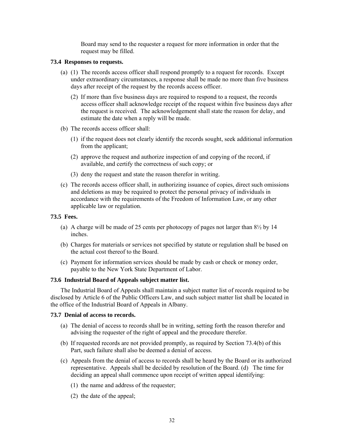Board may send to the requester a request for more information in order that the request may be filled.

## **73.4 Responses to requests.**

- (a) (1) The records access officer shall respond promptly to a request for records. Except under extraordinary circumstances, a response shall be made no more than five business days after receipt of the request by the records access officer.
	- (2) If more than five business days are required to respond to a request, the records access officer shall acknowledge receipt of the request within five business days after the request is received. The acknowledgement shall state the reason for delay, and estimate the date when a reply will be made.
- (b) The records access officer shall:
	- (1) if the request does not clearly identify the records sought, seek additional information from the applicant;
	- (2) approve the request and authorize inspection of and copying of the record, if available, and certify the correctness of such copy; or
	- (3) deny the request and state the reason therefor in writing.
- (c) The records access officer shall, in authorizing issuance of copies, direct such omissions and deletions as may be required to protect the personal privacy of individuals in accordance with the requirements of the Freedom of Information Law, or any other applicable law or regulation.

## **73.5 Fees.**

- (a) A charge will be made of 25 cents per photocopy of pages not larger than  $8\frac{1}{2}$  by 14 inches.
- (b) Charges for materials or services not specified by statute or regulation shall be based on the actual cost thereof to the Board.
- (c) Payment for information services should be made by cash or check or money order, payable to the New York State Department of Labor.

## **73.6 Industrial Board of Appeals subject matter list.**

 The Industrial Board of Appeals shall maintain a subject matter list of records required to be disclosed by Article 6 of the Public Officers Law, and such subject matter list shall be located in the office of the Industrial Board of Appeals in Albany.

### **73.7 Denial of access to records.**

- (a) The denial of access to records shall be in writing, setting forth the reason therefor and advising the requester of the right of appeal and the procedure therefor.
- (b) If requested records are not provided promptly, as required by Section 73.4(b) of this Part, such failure shall also be deemed a denial of access.
- (c) Appeals from the denial of access to records shall be heard by the Board or its authorized representative. Appeals shall be decided by resolution of the Board. (d) The time for deciding an appeal shall commence upon receipt of written appeal identifying:
	- (1) the name and address of the requester;
	- (2) the date of the appeal;